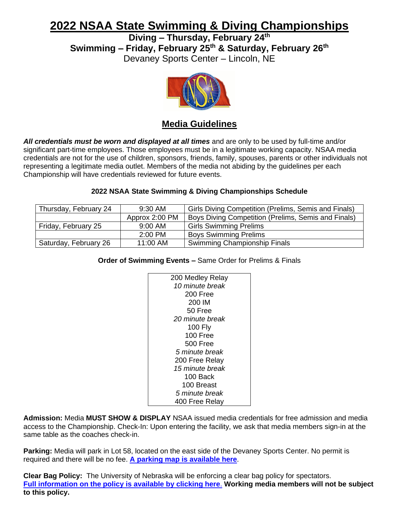# **2022 NSAA State Swimming & Diving Championships**

**Diving – Thursday, February 24 th**

**Swimming – Friday, February 25 th & Saturday, February 26 th**

Devaney Sports Center – Lincoln, NE



# **Media Guidelines**

*All credentials must be worn and displayed at all times* and are only to be used by full-time and/or significant part-time employees. Those employees must be in a legitimate working capacity. NSAA media credentials are not for the use of children, sponsors, friends, family, spouses, parents or other individuals not representing a legitimate media outlet. Members of the media not abiding by the guidelines per each Championship will have credentials reviewed for future events.

## **2022 NSAA State Swimming & Diving Championships Schedule**

| Thursday, February 24 | 9:30 AM        | Girls Diving Competition (Prelims, Semis and Finals) |
|-----------------------|----------------|------------------------------------------------------|
|                       | Approx 2:00 PM | Boys Diving Competition (Prelims, Semis and Finals)  |
| Friday, February 25   | 9:00 AM        | <b>Girls Swimming Prelims</b>                        |
|                       | $2:00$ PM      | <b>Boys Swimming Prelims</b>                         |
| Saturday, February 26 | 11:00 AM       | Swimming Championship Finals                         |

### **Order of Swimming Events –** Same Order for Prelims & Finals

| 200 Medley Relay       |
|------------------------|
| 10 minute break        |
| 200 Free               |
| 200 IM                 |
| 50 Free                |
| 20 minute break        |
| <b>100 Fly</b>         |
| $100$ Free             |
| 500 Free               |
| 5 minute break         |
| 200 Free Relay         |
| <i>15 minute break</i> |
| 100 Back               |
| 100 Breast             |
| <i>5 minute break</i>  |
|                        |
| 400 Free Relay         |

**Admission:** Media **MUST SHOW & DISPLAY** NSAA issued media credentials for free admission and media access to the Championship. Check-In: Upon entering the facility, we ask that media members sign-in at the same table as the coaches check-in.

**Parking:** Media will park in Lot 58, located on the east side of the Devaney Sports Center. No permit is required and there will be no fee. **[A parking map is available here](https://nsaahome.org/wp-content/uploads/2021/10/Devaney-Parking-Map.pdf)**.

**Clear Bag Policy:** The University of Nebraska will be enforcing a clear bag policy for spectators. **[Full information on the policy is available by clicking here](https://huskers.com/sports/2019/8/19/211424499.aspx)**. **Working media members will not be subject to this policy.**